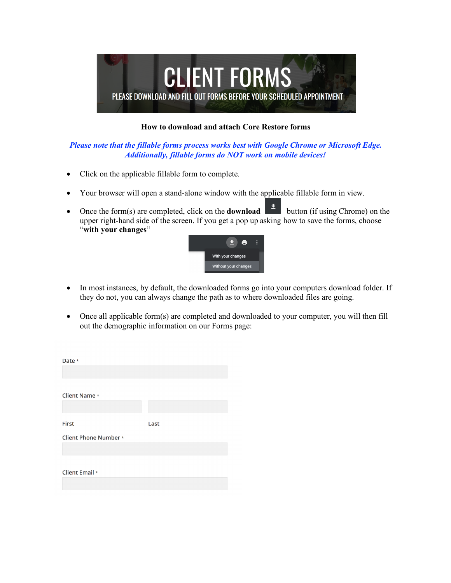

## **How to download and attach Core Restore forms**

## *Please note that the fillable forms process works best with Google Chrome or Microsoft Edge. Additionally, fillable forms do NOT work on mobile devices!*

- Click on the applicable fillable form to complete.
- Your browser will open a stand-alone window with the applicable fillable form in view.
- Once the form(s) are completed, click on the **download** button (if using Chrome) on the upper right-hand side of the screen. If you get a pop up asking how to save the forms, choose "**with your changes**"



- In most instances, by default, the downloaded forms go into your computers download folder. If they do not, you can always change the path as to where downloaded files are going.
- Once all applicable form(s) are completed and downloaded to your computer, you will then fill out the demographic information on our Forms page:

| Date *                       |      |
|------------------------------|------|
|                              |      |
|                              |      |
| <b>Client Name *</b>         |      |
|                              |      |
| <b>First</b>                 | Last |
|                              |      |
| <b>Client Phone Number *</b> |      |
|                              |      |
|                              |      |
| Client Email *               |      |
|                              |      |